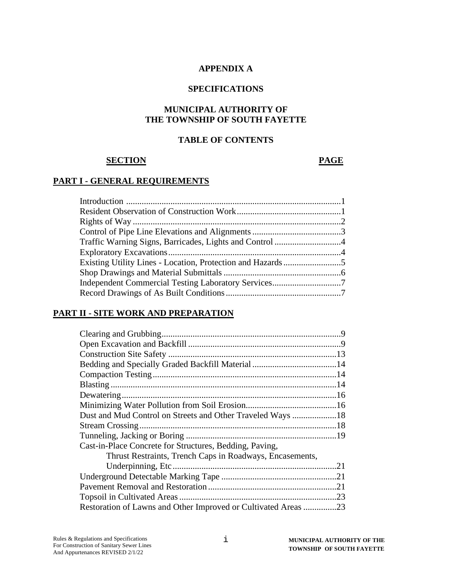#### **APPENDIX A**

#### **SPECIFICATIONS**

#### **MUNICIPAL AUTHORITY OF THE TOWNSHIP OF SOUTH FAYETTE**

## **TABLE OF CONTENTS**

#### **SECTION PAGE**

#### **PART I - GENERAL REQUIREMENTS**

| Independent Commercial Testing Laboratory Services7 |  |
|-----------------------------------------------------|--|
|                                                     |  |

## **PART II - SITE WORK AND PREPARATION**

| Dust and Mud Control on Streets and Other Traveled Ways 18     |  |
|----------------------------------------------------------------|--|
|                                                                |  |
|                                                                |  |
| Cast-in-Place Concrete for Structures, Bedding, Paving,        |  |
| Thrust Restraints, Trench Caps in Roadways, Encasements,       |  |
|                                                                |  |
|                                                                |  |
|                                                                |  |
|                                                                |  |
| Restoration of Lawns and Other Improved or Cultivated Areas 23 |  |